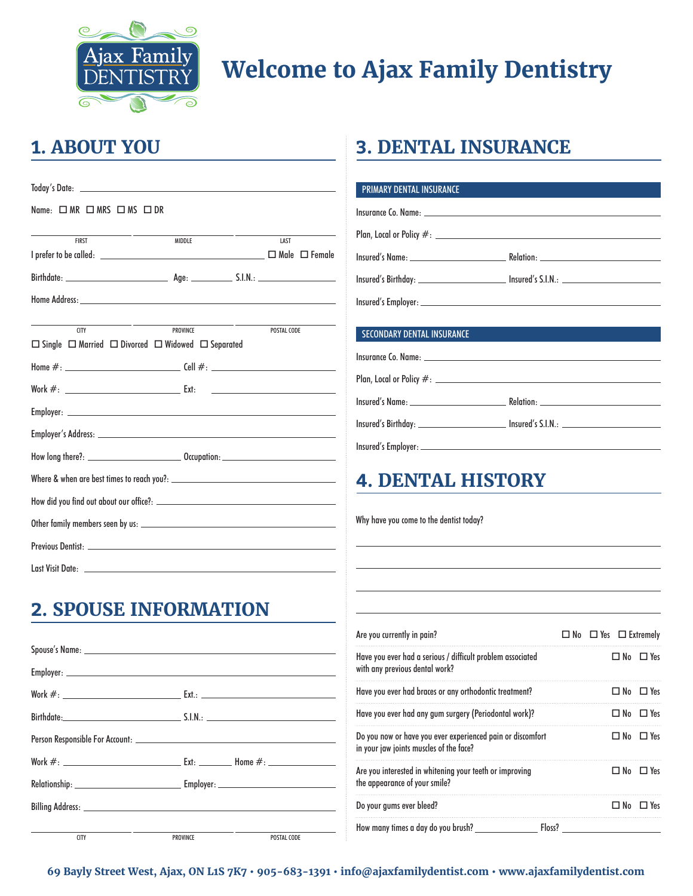

# **Welcome to Ajax Family Dentistry**

#### **1. ABOUT YOU**

| $Name: \Box MR \Box MRS \Box MS \Box DR$ |                                                                                          |                                                                                                                      |
|------------------------------------------|------------------------------------------------------------------------------------------|----------------------------------------------------------------------------------------------------------------------|
| <b>FIRST</b>                             | <b>MIDDLE</b>                                                                            | LAST                                                                                                                 |
|                                          |                                                                                          |                                                                                                                      |
|                                          |                                                                                          |                                                                                                                      |
| <b>CITY</b>                              | PROVINCE<br>$\Box$ Single $\Box$ Married $\Box$ Divorced $\Box$ Widowed $\Box$ Separated | POSTAL CODE                                                                                                          |
|                                          |                                                                                          |                                                                                                                      |
|                                          |                                                                                          | <u> Alexandria de la contrada de la contrada de la contrada de la contrada de la contrada de la contrada de la c</u> |
|                                          |                                                                                          |                                                                                                                      |
|                                          |                                                                                          |                                                                                                                      |
|                                          |                                                                                          |                                                                                                                      |
|                                          |                                                                                          |                                                                                                                      |
|                                          |                                                                                          |                                                                                                                      |
|                                          |                                                                                          |                                                                                                                      |
|                                          |                                                                                          |                                                                                                                      |
|                                          |                                                                                          |                                                                                                                      |

### **2. SPOUSE INFORMATION**

| <b>CITY</b> | PROVINCE | POSTAL CODE |
|-------------|----------|-------------|

#### **3. DENTAL INSURANCE**

| <b>PRIMARY DENTAL INSURANCE</b>   |  |
|-----------------------------------|--|
|                                   |  |
|                                   |  |
|                                   |  |
|                                   |  |
|                                   |  |
| <b>SECONDARY DENTAL INSURANCE</b> |  |
|                                   |  |
|                                   |  |

Insured's Name: Relation:

Insured's Birthday: Insured's S.I.N.:

Insured's Employer:

#### **4. DENTAL HISTORY**

Why have you come to the dentist today?

| Are you currently in pain?                                                                            |        | $\Box$ No $\Box$ Yes $\Box$ Extremely |                      |
|-------------------------------------------------------------------------------------------------------|--------|---------------------------------------|----------------------|
| Have you ever had a serious / difficult problem associated<br>with any previous dental work?          |        |                                       | $\Box$ No $\Box$ Yes |
| Have you ever had braces or any orthodontic treatment?                                                |        |                                       | $\Box$ No $\Box$ Yes |
| Have you ever had any gum surgery (Periodontal work)?                                                 |        | ⊟ No                                  | $\Box$ Yes           |
| Do you now or have you ever experienced pain or discomfort<br>in your jaw joints muscles of the face? |        |                                       | $\Box$ No $\Box$ Yes |
| Are you interested in whitening your teeth or improving<br>the appearance of your smile?              |        |                                       | $\Box$ No $\Box$ Yes |
| Do your gums ever bleed?                                                                              |        | □ No                                  | $\Box$ Yes           |
| How many times a day do you brush?                                                                    | Floss? |                                       |                      |

**69 Bayly Street West, Ajax, ON L1S 7K7 • 905-683-1391 • info@ajaxfamilydentist.com • www.ajaxfamilydentist.com**